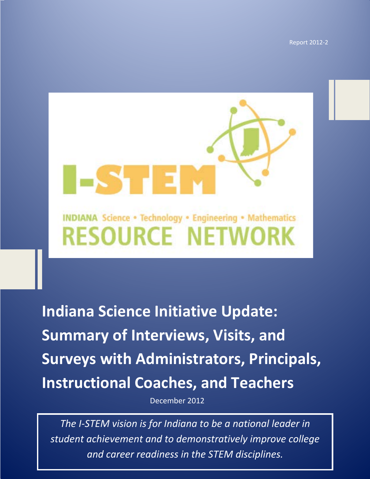**Indiana Science Initiative Update: Summary of Interviews, Visits, and Surveys with**  Report 2012-2



**Indiana Science Initiative Update: Summary of Interviews, Visits, and Surveys with Administrators, Principals, Instructional Coaches, and Teachers**

December 2012

1 *student achievement and to demonstratively improve college The I-STEM vision is for Indiana to be a national leader in and career readiness in the STEM disciplines.*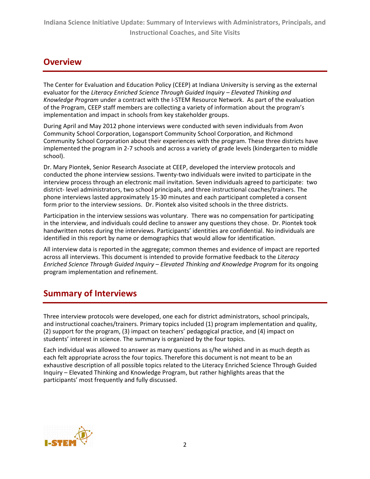## **Overview**

The Center for Evaluation and Education Policy (CEEP) at Indiana University is serving as the external evaluator for the *Literacy Enriched Science Through Guided Inquiry – Elevated Thinking and Knowledge Program* under a contract with the I-STEM Resource Network. As part of the evaluation of the Program, CEEP staff members are collecting a variety of information about the program's implementation and impact in schools from key stakeholder groups.

During April and May 2012 phone interviews were conducted with seven individuals from Avon Community School Corporation, Logansport Community School Corporation, and Richmond Community School Corporation about their experiences with the program. These three districts have implemented the program in 2-7 schools and across a variety of grade levels (kindergarten to middle school).

Dr. Mary Piontek, Senior Research Associate at CEEP, developed the interview protocols and conducted the phone interview sessions. Twenty-two individuals were invited to participate in the interview process through an electronic mail invitation. Seven individuals agreed to participate: two district- level administrators, two school principals, and three instructional coaches/trainers. The phone interviews lasted approximately 15-30 minutes and each participant completed a consent form prior to the interview sessions. Dr. Piontek also visited schools in the three districts.

Participation in the interview sessions was voluntary. There was no compensation for participating in the interview, and individuals could decline to answer any questions they chose. Dr. Piontek took handwritten notes during the interviews. Participants' identities are confidential. No individuals are identified in this report by name or demographics that would allow for identification.

All interview data is reported in the aggregate; common themes and evidence of impact are reported across all interviews. This document is intended to provide formative feedback to the *Literacy Enriched Science Through Guided Inquiry – Elevated Thinking and Knowledge Program* for its ongoing program implementation and refinement.

# **Summary of Interviews**

Three interview protocols were developed, one each for district administrators, school principals, and instructional coaches/trainers. Primary topics included (1) program implementation and quality, (2) support for the program, (3) impact on teachers' pedagogical practice, and (4) impact on students' interest in science. The summary is organized by the four topics.

Each individual was allowed to answer as many questions as s/he wished and in as much depth as each felt appropriate across the four topics. Therefore this document is not meant to be an exhaustive description of all possible topics related to the Literacy Enriched Science Through Guided Inquiry – Elevated Thinking and Knowledge Program, but rather highlights areas that the participants' most frequently and fully discussed.

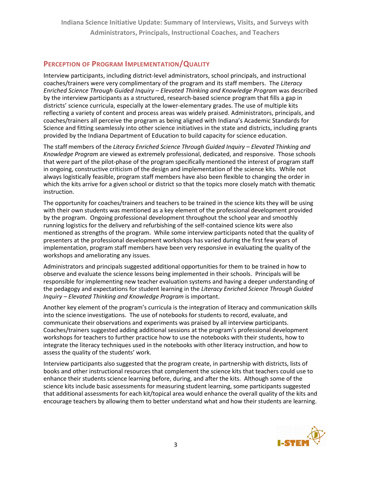**Indiana Science Initiative Update: Summary of Interviews, Visits, and Surveys with Administrators, Principals, Instructional Coaches, and Teachers**

### **PERCEPTION OF PROGRAM IMPLEMENTATION/QUALITY**

Interview participants, including district-level administrators, school principals, and instructional coaches/trainers were very complimentary of the program and its staff members. The *Literacy Enriched Science Through Guided Inquiry – Elevated Thinking and Knowledge Program* was described by the interview participants as a structured, research-based science program that fills a gap in districts' science curricula, especially at the lower-elementary grades. The use of multiple kits reflecting a variety of content and process areas was widely praised. Administrators, principals, and coaches/trainers all perceive the program as being aligned with Indiana's Academic Standards for Science and fitting seamlessly into other science initiatives in the state and districts, including grants provided by the Indiana Department of Education to build capacity for science education.

The staff members of the *Literacy Enriched Science Through Guided Inquiry – Elevated Thinking and Knowledge Program* are viewed as extremely professional, dedicated, and responsive. Those schools that were part of the pilot-phase of the program specifically mentioned the interest of program staff in ongoing, constructive criticism of the design and implementation of the science kits. While not always logistically feasible, program staff members have also been flexible to changing the order in which the kits arrive for a given school or district so that the topics more closely match with thematic instruction.

The opportunity for coaches/trainers and teachers to be trained in the science kits they will be using with their own students was mentioned as a key element of the professional development provided by the program. Ongoing professional development throughout the school year and smoothly running logistics for the delivery and refurbishing of the self-contained science kits were also mentioned as strengths of the program. While some interview participants noted that the quality of presenters at the professional development workshops has varied during the first few years of implementation, program staff members have been very responsive in evaluating the quality of the workshops and ameliorating any issues.

Administrators and principals suggested additional opportunities for them to be trained in how to observe and evaluate the science lessons being implemented in their schools. Principals will be responsible for implementing new teacher evaluation systems and having a deeper understanding of the pedagogy and expectations for student learning in the *Literacy Enriched Science Through Guided Inquiry – Elevated Thinking and Knowledge Program* is important.

Another key element of the program's curricula is the integration of literacy and communication skills into the science investigations. The use of notebooks for students to record, evaluate, and communicate their observations and experiments was praised by all interview participants. Coaches/trainers suggested adding additional sessions at the program's professional development workshops for teachers to further practice how to use the notebooks with their students, how to integrate the literacy techniques used in the notebooks with other literacy instruction, and how to assess the quality of the students' work.

Interview participants also suggested that the program create, in partnership with districts, lists of books and other instructional resources that complement the science kits that teachers could use to enhance their students science learning before, during, and after the kits. Although some of the science kits include basic assessments for measuring student learning, some participants suggested that additional assessments for each kit/topical area would enhance the overall quality of the kits and encourage teachers by allowing them to better understand what and how their students are learning.

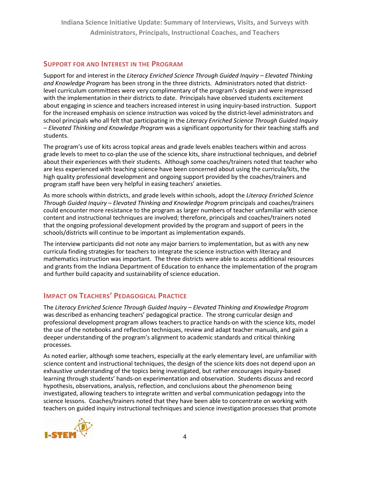**Indiana Science Initiative Update: Summary of Interviews, Visits, and Surveys with Administrators, Principals, Instructional Coaches, and Teachers**

### **SUPPORT FOR AND INTEREST IN THE PROGRAM**

Support for and interest in the *Literacy Enriched Science Through Guided Inquiry – Elevated Thinking and Knowledge Program* has been strong in the three districts. Administrators noted that districtlevel curriculum committees were very complimentary of the program's design and were impressed with the implementation in their districts to date. Principals have observed students excitement about engaging in science and teachers increased interest in using inquiry-based instruction. Support for the increased emphasis on science instruction was voiced by the district-level administrators and school principals who all felt that participating in the *Literacy Enriched Science Through Guided Inquiry – Elevated Thinking and Knowledge Program* was a significant opportunity for their teaching staffs and students.

The program's use of kits across topical areas and grade levels enables teachers within and across grade levels to meet to co-plan the use of the science kits, share instructional techniques, and debrief about their experiences with their students. Although some coaches/trainers noted that teacher who are less experienced with teaching science have been concerned about using the curricula/kits, the high quality professional development and ongoing support provided by the coaches/trainers and program staff have been very helpful in easing teachers' anxieties.

As more schools within districts, and grade levels within schools, adopt the *Literacy Enriched Science Through Guided Inquiry – Elevated Thinking and Knowledge Program* principals and coaches/trainers could encounter more resistance to the program as larger numbers of teacher unfamiliar with science content and instructional techniques are involved; therefore, principals and coaches/trainers noted that the ongoing professional development provided by the program and support of peers in the schools/districts will continue to be important as implementation expands.

The interview participants did not note any major barriers to implementation, but as with any new curricula finding strategies for teachers to integrate the science instruction with literacy and mathematics instruction was important. The three districts were able to access additional resources and grants from the Indiana Department of Education to enhance the implementation of the program and further build capacity and sustainability of science education.

### **IMPACT ON TEACHERS' PEDAGOGICAL PRACTICE**

The *Literacy Enriched Science Through Guided Inquiry – Elevated Thinking and Knowledge Program* was described as enhancing teachers' pedagogical practice. The strong curricular design and professional development program allows teachers to practice hands-on with the science kits, model the use of the notebooks and reflection techniques, review and adapt teacher manuals, and gain a deeper understanding of the program's alignment to academic standards and critical thinking processes.

As noted earlier, although some teachers, especially at the early elementary level, are unfamiliar with science content and instructional techniques, the design of the science kits does not depend upon an exhaustive understanding of the topics being investigated, but rather encourages inquiry-based learning through students' hands-on experimentation and observation. Students discuss and record hypothesis, observations, analysis, reflection, and conclusions about the phenomenon being investigated, allowing teachers to integrate written and verbal communication pedagogy into the science lessons. Coaches/trainers noted that they have been able to concentrate on working with teachers on guided inquiry instructional techniques and science investigation processes that promote

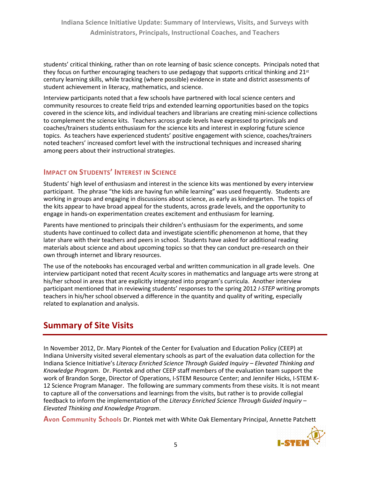students' critical thinking, rather than on rote learning of basic science concepts. Principals noted that they focus on further encouraging teachers to use pedagogy that supports critical thinking and  $21^{st}$ century learning skills, while tracking (where possible) evidence in state and district assessments of student achievement in literacy, mathematics, and science.

Interview participants noted that a few schools have partnered with local science centers and community resources to create field trips and extended learning opportunities based on the topics covered in the science kits, and individual teachers and librarians are creating mini-science collections to complement the science kits. Teachers across grade levels have expressed to principals and coaches/trainers students enthusiasm for the science kits and interest in exploring future science topics. As teachers have experienced students' positive engagement with science, coaches/trainers noted teachers' increased comfort level with the instructional techniques and increased sharing among peers about their instructional strategies.

### **IMPACT ON STUDENTS' INTEREST IN SCIENCE**

Students' high level of enthusiasm and interest in the science kits was mentioned by every interview participant. The phrase "the kids are having fun while learning" was used frequently. Students are working in groups and engaging in discussions about science, as early as kindergarten. The topics of the kits appear to have broad appeal for the students, across grade levels, and the opportunity to engage in hands-on experimentation creates excitement and enthusiasm for learning.

Parents have mentioned to principals their children's enthusiasm for the experiments, and some students have continued to collect data and investigate scientific phenomenon at home, that they later share with their teachers and peers in school. Students have asked for additional reading materials about science and about upcoming topics so that they can conduct pre-research on their own through internet and library resources.

The use of the notebooks has encouraged verbal and written communication in all grade levels. One interview participant noted that recent *Acuity* scores in mathematics and language arts were strong at his/her school in areas that are explicitly integrated into program's curricula. Another interview participant mentioned that in reviewing students' responses to the spring 2012 *I-STEP* writing prompts teachers in his/her school observed a difference in the quantity and quality of writing, especially related to explanation and analysis.

# **Summary of Site Visits**

In November 2012, Dr. Mary Piontek of the Center for Evaluation and Education Policy (CEEP) at Indiana University visited several elementary schools as part of the evaluation data collection for the Indiana Science Initiative's *Literacy Enriched Science Through Guided Inquiry – Elevated Thinking and Knowledge Program*. Dr. Piontek and other CEEP staff members of the evaluation team support the work of Brandon Sorge, Director of Operations, I-STEM Resource Center; and Jennifer Hicks, I-STEM K-12 Science Program Manager. The following are summary comments from these visits. It is not meant to capture all of the conversations and learnings from the visits, but rather is to provide collegial feedback to inform the implementation of the *Literacy Enriched Science Through Guided Inquiry – Elevated Thinking and Knowledge Program*.

**Avon Community Schools** Dr. Piontek met with White Oak Elementary Principal, Annette Patchett

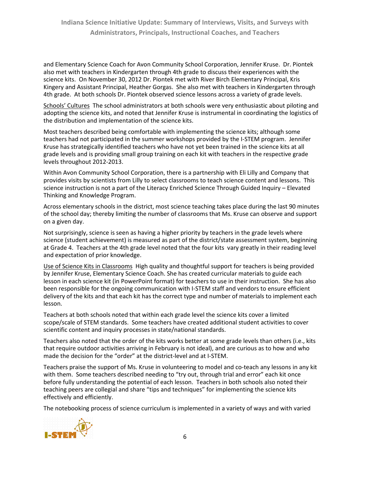and Elementary Science Coach for Avon Community School Corporation, Jennifer Kruse. Dr. Piontek also met with teachers in Kindergarten through 4th grade to discuss their experiences with the science kits. On November 30, 2012 Dr. Piontek met with River Birch Elementary Principal, Kris Kingery and Assistant Principal, Heather Gorgas. She also met with teachers in Kindergarten through 4th grade. At both schools Dr. Piontek observed science lessons across a variety of grade levels.

Schools' Cultures The school administrators at both schools were very enthusiastic about piloting and adopting the science kits, and noted that Jennifer Kruse is instrumental in coordinating the logistics of the distribution and implementation of the science kits.

Most teachers described being comfortable with implementing the science kits; although some teachers had not participated in the summer workshops provided by the I-STEM program. Jennifer Kruse has strategically identified teachers who have not yet been trained in the science kits at all grade levels and is providing small group training on each kit with teachers in the respective grade levels throughout 2012-2013.

Within Avon Community School Corporation, there is a partnership with Eli Lilly and Company that provides visits by scientists from Lilly to select classrooms to teach science content and lessons. This science instruction is not a part of the Literacy Enriched Science Through Guided Inquiry – Elevated Thinking and Knowledge Program.

Across elementary schools in the district, most science teaching takes place during the last 90 minutes of the school day; thereby limiting the number of classrooms that Ms. Kruse can observe and support on a given day.

Not surprisingly, science is seen as having a higher priority by teachers in the grade levels where science (student achievement) is measured as part of the district/state assessment system, beginning at Grade 4. Teachers at the 4th grade level noted that the four kits vary greatly in their reading level and expectation of prior knowledge.

Use of Science Kits in Classrooms High quality and thoughtful support for teachers is being provided by Jennifer Kruse, Elementary Science Coach. She has created curricular materials to guide each lesson in each science kit (in PowerPoint format) for teachers to use in their instruction. She has also been responsible for the ongoing communication with I-STEM staff and vendors to ensure efficient delivery of the kits and that each kit has the correct type and number of materials to implement each lesson.

Teachers at both schools noted that within each grade level the science kits cover a limited scope/scale of STEM standards. Some teachers have created additional student activities to cover scientific content and inquiry processes in state/national standards.

Teachers also noted that the order of the kits works better at some grade levels than others (i.e., kits that require outdoor activities arriving in February is not ideal), and are curious as to how and who made the decision for the "order" at the district-level and at I-STEM.

Teachers praise the support of Ms. Kruse in volunteering to model and co-teach any lessons in any kit with them. Some teachers described needing to "try out, through trial and error" each kit once before fully understanding the potential of each lesson. Teachers in both schools also noted their teaching peers are collegial and share "tips and techniques" for implementing the science kits effectively and efficiently.

The notebooking process of science curriculum is implemented in a variety of ways and with varied

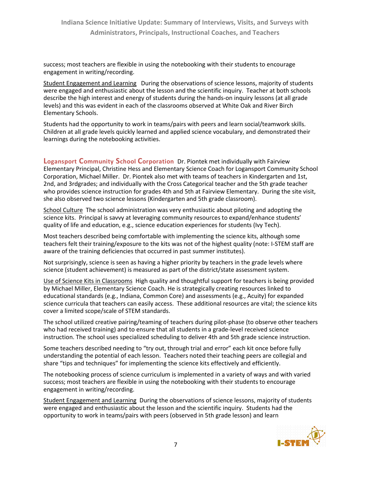success; most teachers are flexible in using the notebooking with their students to encourage engagement in writing/recording.

Student Engagement and Learning During the observations of science lessons, majority of students were engaged and enthusiastic about the lesson and the scientific inquiry. Teacher at both schools describe the high interest and energy of students during the hands-on inquiry lessons (at all grade levels) and this was evident in each of the classrooms observed at White Oak and River Birch Elementary Schools.

Students had the opportunity to work in teams/pairs with peers and learn social/teamwork skills. Children at all grade levels quickly learned and applied science vocabulary, and demonstrated their learnings during the notebooking activities.

**Logansport Community School Corporation** Dr. Piontek met individually with Fairview Elementary Principal, Christine Hess and Elementary Science Coach for Logansport Community School Corporation, Michael Miller. Dr. Piontek also met with teams of teachers in Kindergarten and 1st, 2nd, and 3rdgrades; and individually with the Cross Categorical teacher and the 5th grade teacher who provides science instruction for grades 4th and 5th at Fairview Elementary. During the site visit, she also observed two science lessons (Kindergarten and 5th grade classroom).

School Culture The school administration was very enthusiastic about piloting and adopting the science kits. Principal is savvy at leveraging community resources to expand/enhance students' quality of life and education, e.g., science education experiences for students (Ivy Tech).

Most teachers described being comfortable with implementing the science kits, although some teachers felt their training/exposure to the kits was not of the highest quality (note: I-STEM staff are aware of the training deficiencies that occurred in past summer institutes).

Not surprisingly, science is seen as having a higher priority by teachers in the grade levels where science (student achievement) is measured as part of the district/state assessment system.

Use of Science Kits in Classrooms High quality and thoughtful support for teachers is being provided by Michael Miller, Elementary Science Coach. He is strategically creating resources linked to educational standards (e.g., Indiana, Common Core) and assessments (e.g., Acuity) for expanded science curricula that teachers can easily access. These additional resources are vital; the science kits cover a limited scope/scale of STEM standards.

The school utilized creative pairing/teaming of teachers during pilot-phase (to observe other teachers who had received training) and to ensure that all students in a grade-level received science instruction. The school uses specialized scheduling to deliver 4th and 5th grade science instruction.

Some teachers described needing to "try out, through trial and error" each kit once before fully understanding the potential of each lesson. Teachers noted their teaching peers are collegial and share "tips and techniques" for implementing the science kits effectively and efficiently.

The notebooking process of science curriculum is implemented in a variety of ways and with varied success; most teachers are flexible in using the notebooking with their students to encourage engagement in writing/recording.

Student Engagement and Learning During the observations of science lessons, majority of students were engaged and enthusiastic about the lesson and the scientific inquiry. Students had the opportunity to work in teams/pairs with peers (observed in 5th grade lesson) and learn

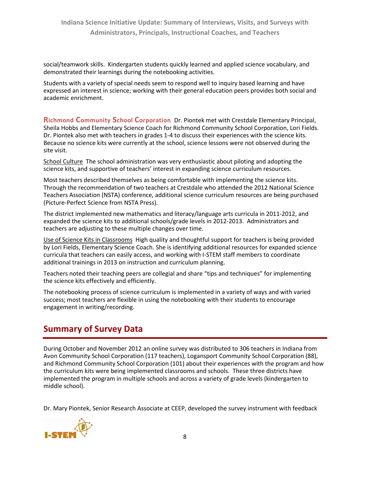social/teamwork skills. Kindergarten students quickly learned and applied science vocabulary, and demonstrated their learnings during the notebooking activities.

Students with a variety of special needs seem to respond well to inquiry based learning and have expressed an interest in science; working with their general education peers provides both social and academic enrichment.

**Richmond Community School Corporation** Dr. Piontek met with Crestdale Elementary Principal, Sheila Hobbs and Elementary Science Coach for Richmond Community School Corporation, Lori Fields. Dr. Piontek also met with teachers in grades 1-4 to discuss their experiences with the science kits. Because no science kits were currently at the school, science lessons were not observed during the site visit.

School Culture The school administration was very enthusiastic about piloting and adopting the science kits, and supportive of teachers' interest in expanding science curriculum resources.

Most teachers described themselves as being comfortable with implementing the science kits. Through the recommendation of two teachers at Crestdale who attended the 2012 National Science Teachers Association (NSTA) conference, additional science curriculum resources are being purchased (Picture-Perfect Science from NSTA Press).

The district implemented new mathematics and literacy/language arts curricula in 2011-2012, and expanded the science kits to additional schools/grade levels in 2012-2013. Administrators and teachers are adjusting to these multiple changes over time.

Use of Science Kits in Classrooms High quality and thoughtful support for teachers is being provided by Lori Fields, Elementary Science Coach. She is identifying additional resources for expanded science curricula that teachers can easily access, and working with I-STEM staff members to coordinate additional trainings in 2013 on instruction and curriculum planning.

Teachers noted their teaching peers are collegial and share "tips and techniques" for implementing the science kits effectively and efficiently.

The notebooking process of science curriculum is implemented in a variety of ways and with varied success; most teachers are flexible in using the notebooking with their students to encourage engagement in writing/recording.

# **Summary of Survey Data**

During October and November 2012 an online survey was distributed to 306 teachers in Indiana from Avon Community School Corporation (117 teachers), Logansport Community School Corporation (88), and Richmond Community School Corporation (101) about their experiences with the program and how the curriculum kits were being implemented classrooms and schools. These three districts have implemented the program in multiple schools and across a variety of grade levels (kindergarten to middle school).

Dr. Mary Piontek, Senior Research Associate at CEEP, developed the survey instrument with feedback

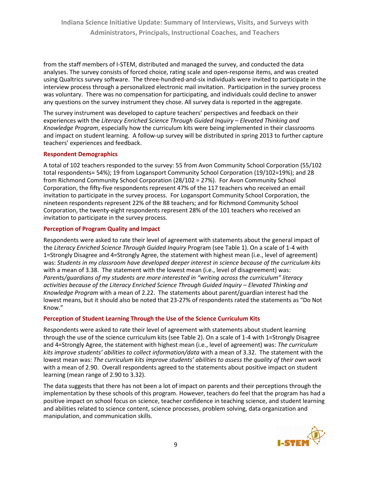from the staff members of I-STEM, distributed and managed the survey, and conducted the data analyses. The survey consists of forced choice, rating scale and open-response items, and was created using Qualtrics survey software. The three-hundred-and-six individuals were invited to participate in the interview process through a personalized electronic mail invitation. Participation in the survey process was voluntary. There was no compensation for participating, and individuals could decline to answer any questions on the survey instrument they chose. All survey data is reported in the aggregate.

The survey instrument was developed to capture teachers' perspectives and feedback on their experiences with the *Literacy Enriched Science Through Guided Inquiry – Elevated Thinking and Knowledge Program*, especially how the curriculum kits were being implemented in their classrooms and impact on student learning. A follow-up survey will be distributed in spring 2013 to further capture teachers' experiences and feedback.

#### **Respondent Demographics**

A total of 102 teachers responded to the survey: 55 from Avon Community School Corporation (55/102 total respondents= 54%); 19 from Logansport Community School Corporation (19/102=19%); and 28 from Richmond Community School Corporation (28/102 = 27%). For Avon Community School Corporation, the fifty-five respondents represent 47% of the 117 teachers who received an email invitation to participate in the survey process. For Logansport Community School Corporation, the nineteen respondents represent 22% of the 88 teachers; and for Richmond Community School Corporation, the twenty-eight respondents represent 28% of the 101 teachers who received an invitation to participate in the survey process.

#### **Perception of Program Quality and Impact**

Respondents were asked to rate their level of agreement with statements about the general impact of the *Literacy Enriched Science Through Guided Inquiry* Program (see Table 1). On a scale of 1-4 with 1=Strongly Disagree and 4=Strongly Agree, the statement with highest mean (i.e., level of agreement) was: *Students in my classroom have developed deeper interest in science because of the curriculum kits* with a mean of 3.38. The statement with the lowest mean (i.e., level of disagreement) was: *Parents/guardians of my students are more interested in "writing across the curriculum" literacy activities because of the Literacy Enriched Science Through Guided Inquiry – Elevated Thinking and Knowledge Program* with a mean of 2.22. The statements about parent/guardian interest had the lowest means, but it should also be noted that 23-27% of respondents rated the statements as "Do Not Know."

#### **Perception of Student Learning Through the Use of the Science Curriculum Kits**

Respondents were asked to rate their level of agreement with statements about student learning through the use of the science curriculum kits (see Table 2). On a scale of 1-4 with 1=Strongly Disagree and 4=Strongly Agree, the statement with highest mean (i.e., level of agreement) was: *The curriculum kits improve students' abilities to collect information/data* with a mean of 3.32. The statement with the lowest mean was: *The curriculum kits improve students' abilities to assess the quality of their own work* with a mean of 2.90. Overall respondents agreed to the statements about positive impact on student learning (mean range of 2.90 to 3.32).

The data suggests that there has not been a lot of impact on parents and their perceptions through the implementation by these schools of this program. However, teachers do feel that the program has had a positive impact on school focus on science, teacher confidence in teaching science, and student learning and abilities related to science content, science processes, problem solving, data organization and manipulation, and communication skills.

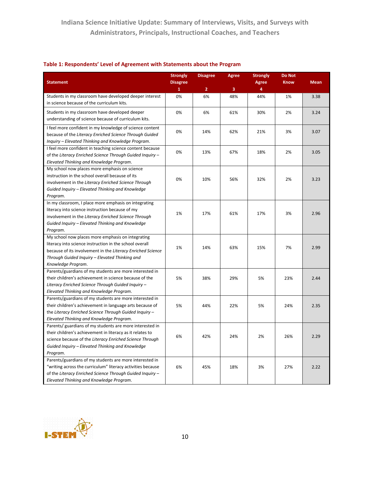|                                                                                                               | <b>Strongly</b>                 | <b>Disagree</b> | <b>Agree</b> | <b>Strongly</b>   | <b>Do Not</b> |             |
|---------------------------------------------------------------------------------------------------------------|---------------------------------|-----------------|--------------|-------------------|---------------|-------------|
| <b>Statement</b>                                                                                              | <b>Disagree</b><br>$\mathbf{1}$ | $\overline{2}$  | 3            | <b>Agree</b><br>4 | <b>Know</b>   | <b>Mean</b> |
| Students in my classroom have developed deeper interest                                                       | 0%                              | 6%              | 48%          | 44%               | 1%            | 3.38        |
| in science because of the curriculum kits.                                                                    |                                 |                 |              |                   |               |             |
| Students in my classroom have developed deeper                                                                | 0%                              | 6%              | 61%          | 30%               | 2%            | 3.24        |
| understanding of science because of curriculum kits.                                                          |                                 |                 |              |                   |               |             |
|                                                                                                               |                                 |                 |              |                   |               |             |
| I feel more confident in my knowledge of science content                                                      | 0%                              | 14%             | 62%          | 21%               | 3%            | 3.07        |
| because of the Literacy Enriched Science Through Guided<br>Inguiry – Elevated Thinking and Knowledge Program. |                                 |                 |              |                   |               |             |
| I feel more confident in teaching science content because                                                     |                                 |                 |              |                   |               |             |
| of the Literacy Enriched Science Through Guided Inquiry -                                                     | 0%                              | 13%             | 67%          | 18%               | 2%            | 3.05        |
| Elevated Thinking and Knowledge Program.                                                                      |                                 |                 |              |                   |               |             |
| My school now places more emphasis on science                                                                 |                                 |                 |              |                   |               |             |
| instruction in the school overall because of its                                                              |                                 |                 |              |                   |               |             |
| involvement in the Literacy Enriched Science Through                                                          | 0%                              | 10%             | 56%          | 32%               | 2%            | 3.23        |
| Guided Inquiry - Elevated Thinking and Knowledge                                                              |                                 |                 |              |                   |               |             |
| Program.                                                                                                      |                                 |                 |              |                   |               |             |
| In my classroom, I place more emphasis on integrating                                                         |                                 |                 |              |                   |               |             |
| literacy into science instruction because of my                                                               |                                 |                 |              |                   |               |             |
| involvement in the Literacy Enriched Science Through                                                          | 1%                              | 17%             | 61%          | 17%               | 3%            | 2.96        |
| Guided Inquiry - Elevated Thinking and Knowledge                                                              |                                 |                 |              |                   |               |             |
| Program.                                                                                                      |                                 |                 |              |                   |               |             |
| My school now places more emphasis on integrating                                                             |                                 |                 |              |                   |               |             |
| literacy into science instruction in the school overall                                                       |                                 |                 |              |                   |               |             |
| because of its involvement in the Literacy Enriched Science                                                   | 1%                              | 14%             | 63%          | 15%               | 7%            | 2.99        |
| Through Guided Inguiry - Elevated Thinking and                                                                |                                 |                 |              |                   |               |             |
| Knowledge Program.                                                                                            |                                 |                 |              |                   |               |             |
| Parents/guardians of my students are more interested in                                                       |                                 |                 |              |                   |               |             |
| their children's achievement in science because of the                                                        | 5%                              | 38%             | 29%          | 5%                | 23%           | 2.44        |
| Literacy Enriched Science Through Guided Inquiry -                                                            |                                 |                 |              |                   |               |             |
| Elevated Thinking and Knowledge Program.                                                                      |                                 |                 |              |                   |               |             |
| Parents/guardians of my students are more interested in                                                       |                                 |                 |              |                   |               |             |
| their children's achievement in language arts because of                                                      | 5%                              | 44%             | 22%          | 5%                | 24%           | 2.35        |
| the Literacy Enriched Science Through Guided Inquiry -                                                        |                                 |                 |              |                   |               |             |
| Elevated Thinking and Knowledge Program.                                                                      |                                 |                 |              |                   |               |             |
| Parents/ guardians of my students are more interested in                                                      |                                 |                 |              |                   |               |             |
| their children's achievement in literacy as it relates to                                                     | 6%                              | 42%             | 24%          | 2%                | 26%           | 2.29        |
| science because of the Literacy Enriched Science Through                                                      |                                 |                 |              |                   |               |             |
| Guided Inquiry - Elevated Thinking and Knowledge                                                              |                                 |                 |              |                   |               |             |
| Program.                                                                                                      |                                 |                 |              |                   |               |             |
| Parents/guardians of my students are more interested in                                                       |                                 |                 |              |                   |               |             |
| "writing across the curriculum" literacy activities because                                                   | 6%                              | 45%             | 18%          | 3%                | 27%           | 2.22        |
| of the Literacy Enriched Science Through Guided Inquiry -                                                     |                                 |                 |              |                   |               |             |
| Elevated Thinking and Knowledge Program.                                                                      |                                 |                 |              |                   |               |             |

#### **Table 1: Respondents' Level of Agreement with Statements about the Program**

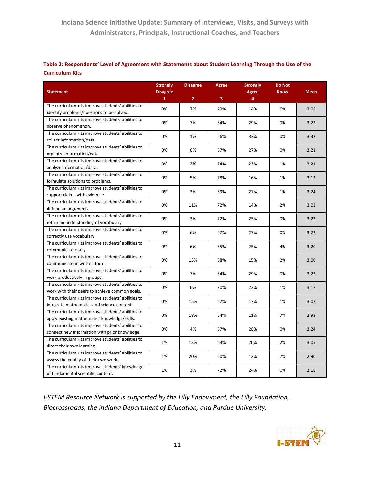|                        | Table 2: Respondents' Level of Agreement with Statements about Student Learning Through the Use of the |
|------------------------|--------------------------------------------------------------------------------------------------------|
| <b>Curriculum Kits</b> |                                                                                                        |

|                                                                                                 | <b>Strongly</b> | <b>Disagree</b> | <b>Agree</b> | <b>Strongly</b>   | <b>Do Not</b> |             |
|-------------------------------------------------------------------------------------------------|-----------------|-----------------|--------------|-------------------|---------------|-------------|
| <b>Statement</b>                                                                                | <b>Disagree</b> |                 |              | <b>Agree</b><br>4 | <b>Know</b>   | <b>Mean</b> |
|                                                                                                 | $\overline{1}$  | $\overline{2}$  | 3            |                   |               |             |
| The curriculum kits improve students' abilities to<br>identify problems/questions to be solved. | 0%              | 7%              | 79%          | 14%               | 0%            | 3.08        |
| The curriculum kits improve students' abilities to                                              |                 |                 |              |                   |               |             |
| observe phenomenon.                                                                             | 0%              | 7%              | 64%          | 29%               | 0%            | 3.22        |
| The curriculum kits improve students' abilities to                                              |                 |                 |              |                   |               |             |
| collect information/data.                                                                       | 0%              | 1%              | 66%          | 33%               | 0%            | 3.32        |
| The curriculum kits improve students' abilities to                                              |                 |                 |              |                   |               |             |
| organize information/data.                                                                      | 0%              | 6%              | 67%          | 27%               | 0%            | 3.21        |
| The curriculum kits improve students' abilities to                                              |                 |                 |              |                   |               |             |
| analyze information/data.                                                                       | 0%              | 2%              | 74%          | 23%               | 1%            | 3.21        |
| The curriculum kits improve students' abilities to                                              |                 |                 |              |                   |               |             |
| formulate solutions to problems.                                                                | 0%              | 5%              | 78%          | 16%               | 1%            | 3.12        |
| The curriculum kits improve students' abilities to                                              |                 |                 |              |                   |               |             |
| support claims with evidence.                                                                   | 0%              | 3%              | 69%          | 27%               | 1%            | 3.24        |
| The curriculum kits improve students' abilities to                                              |                 |                 |              |                   |               |             |
| defend an argument.                                                                             | 0%              | 11%             | 72%          | 14%               | 2%            | 3.02        |
| The curriculum kits improve students' abilities to                                              |                 |                 |              |                   |               |             |
| retain an understanding of vocabulary.                                                          | 0%              | 3%              | 72%          | 25%               | 0%            | 3.22        |
| The curriculum kits improve students' abilities to                                              | 0%              | 6%              |              | 27%               | 0%            | 3.22        |
| correctly use vocabulary.                                                                       |                 |                 | 67%          |                   |               |             |
| The curriculum kits improve students' abilities to                                              | 0%              | 6%              | 65%          | 25%               | 4%            | 3.20        |
| communicate orally.                                                                             |                 |                 |              |                   |               |             |
| The curriculum kits improve students' abilities to                                              | 0%              | 15%             | 68%          | 15%               | 2%            | 3.00        |
| communicate in written form.                                                                    |                 |                 |              |                   |               |             |
| The curriculum kits improve students' abilities to                                              | 0%              | 7%              | 64%          | 29%               | 0%            | 3.22        |
| work productively in groups.                                                                    |                 |                 |              |                   |               |             |
| The curriculum kits improve students' abilities to                                              | 0%              | 6%              | 70%          | 23%               | 1%            | 3.17        |
| work with their peers to achieve common goals.                                                  |                 |                 |              |                   |               |             |
| The curriculum kits improve students' abilities to                                              | 0%              | 15%             | 67%          | 17%               | 1%            | 3.02        |
| integrate mathematics and science content.                                                      |                 |                 |              |                   |               |             |
| The curriculum kits improve students' abilities to                                              | 0%              | 18%             | 64%          | 11%               | 7%            | 2.93        |
| apply existing mathematics knowledge/skills.                                                    |                 |                 |              |                   |               |             |
| The curriculum kits improve students' abilities to                                              | 0%              | 4%              | 67%          | 28%               | 0%            | 3.24        |
| connect new information with prior knowledge.                                                   |                 |                 |              |                   |               |             |
| The curriculum kits improve students' abilities to                                              | 1%              | 13%             | 63%          | 20%               | 2%            | 3.05        |
| direct their own learning.                                                                      |                 |                 |              |                   |               |             |
| The curriculum kits improve students' abilities to                                              | 1%              | 20%             | 60%          | 12%               | 7%            | 2.90        |
| assess the quality of their own work.                                                           |                 |                 |              |                   |               |             |
| The curriculum kits improve students' knowledge                                                 | 1%              | 3%              | 72%          | 24%               | 0%            | 3.18        |
| of fundamental scientific content.                                                              |                 |                 |              |                   |               |             |

*I-STEM Resource Network is supported by the Lilly Endowment, the Lilly Foundation, Biocrossroads, the Indiana Department of Education, and Purdue University.*